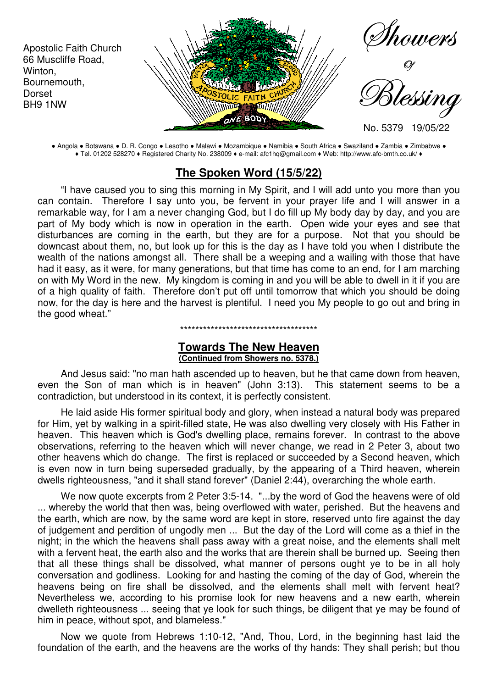

● Angola ● Botswana ● D. R. Congo ● Lesotho ● Malawi ● Mozambique ● Namibia ● South Africa ● Swaziland ● Zambia ● Zimbabwe ● ♦ Tel. 01202 528270 ♦ Registered Charity No. 238009 ♦ e-mail: afc1hq@gmail.com ♦ Web: http://www.afc-bmth.co.uk/ ♦

### **The Spoken Word (15/5/22)**

"I have caused you to sing this morning in My Spirit, and I will add unto you more than you can contain. Therefore I say unto you, be fervent in your prayer life and I will answer in a remarkable way, for I am a never changing God, but I do fill up My body day by day, and you are part of My body which is now in operation in the earth. Open wide your eyes and see that disturbances are coming in the earth, but they are for a purpose. Not that you should be downcast about them, no, but look up for this is the day as I have told you when I distribute the wealth of the nations amongst all. There shall be a weeping and a wailing with those that have had it easy, as it were, for many generations, but that time has come to an end, for I am marching on with My Word in the new. My kingdom is coming in and you will be able to dwell in it if you are of a high quality of faith. Therefore don't put off until tomorrow that which you should be doing now, for the day is here and the harvest is plentiful. I need you My people to go out and bring in the good wheat."

# \*\*\*\*\*\*\*\*\*\*\*\*\*\*\*\*\*\*\*\*\*\*\*\*\*\*\*\*\*\*\*\*\*\*\*\*

#### **Towards The New Heaven (Continued from Showers no. 5378.)**

And Jesus said: "no man hath ascended up to heaven, but he that came down from heaven, even the Son of man which is in heaven" (John 3:13). This statement seems to be a contradiction, but understood in its context, it is perfectly consistent.

He laid aside His former spiritual body and glory, when instead a natural body was prepared for Him, yet by walking in a spirit-filled state, He was also dwelling very closely with His Father in heaven. This heaven which is God's dwelling place, remains forever. In contrast to the above observations, referring to the heaven which will never change, we read in 2 Peter 3, about two other heavens which do change. The first is replaced or succeeded by a Second heaven, which is even now in turn being superseded gradually, by the appearing of a Third heaven, wherein dwells righteousness, "and it shall stand forever" (Daniel 2:44), overarching the whole earth.

We now quote excerpts from 2 Peter 3:5-14. "...by the word of God the heavens were of old ... whereby the world that then was, being overflowed with water, perished. But the heavens and the earth, which are now, by the same word are kept in store, reserved unto fire against the day of judgement and perdition of ungodly men ... But the day of the Lord will come as a thief in the night; in the which the heavens shall pass away with a great noise, and the elements shall melt with a fervent heat, the earth also and the works that are therein shall be burned up. Seeing then that all these things shall be dissolved, what manner of persons ought ye to be in all holy conversation and godliness. Looking for and hasting the coming of the day of God, wherein the heavens being on fire shall be dissolved, and the elements shall melt with fervent heat? Nevertheless we, according to his promise look for new heavens and a new earth, wherein dwelleth righteousness ... seeing that ye look for such things, be diligent that ye may be found of him in peace, without spot, and blameless."

Now we quote from Hebrews 1:10-12, "And, Thou, Lord, in the beginning hast laid the foundation of the earth, and the heavens are the works of thy hands: They shall perish; but thou